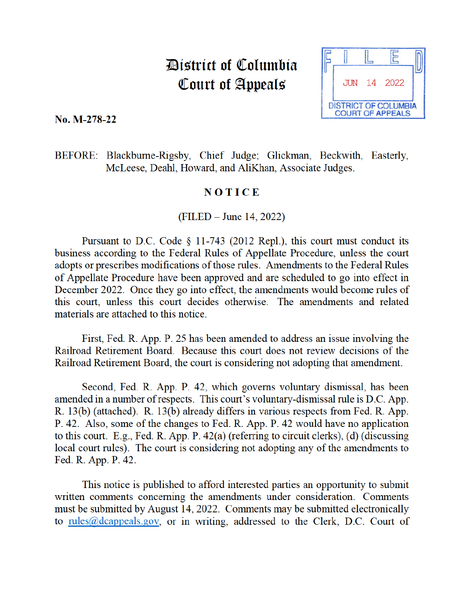# District of Columbia Court of Appeals



No. M-278-22

BEFORE: Blackburne-Rigsby, Chief Judge; Glickman, Beckwith, Easterly, McLeese, Deahl, Howard, and AliKhan, Associate Judges.

## NOTICE

 $(FILED - June 14, 2022)$ 

Pursuant to D.C. Code  $\S$  11-743 (2012 Repl.), this court must conduct its business according to the Federal Rules of Appellate Procedure, unless the court adopts or prescribes modifications of those rules. Amendments to the Federal Rules of Appellate Procedure have been approved and are scheduled to go into effect in December 2022. Once they go into effect, the amendments would become rules of this court, unless this court decides otherwise. The amendments and related materials are attached to this notice

First, Fed. R. App. P. 25 has been amended to address an issue involving the Railroad Retirement Board. Because this court does not review decisions of the Railroad Retirement Board, the court is considering not adopting that amendment.

Second, Fed. R. App. P. 42, which governs voluntary dismissal, has been amended in a number of respects. This court's voluntary-dismissal rule is D.C. App. R. 13(b) (attached). R. 13(b) already differs in various respects from Fed. R. App. P. 42. Also, some of the changes to Fed. R. App. P. 42 would have no application to this court. E.g., Fed. R. App. P.  $42(a)$  (referring to circuit clerks), (d) (discussing local court rules). The court is considering not adopting any of the amendments to Fed. R. App. P. 42.

This notice is published to afford interested parties an opportunity to submit written comments concerning the amendments under consideration. Comments must be submitted by August 14, 2022. Comments may be submitted electronically to rules@dcappeals.gov, or in writing, addressed to the Clerk, D.C. Court of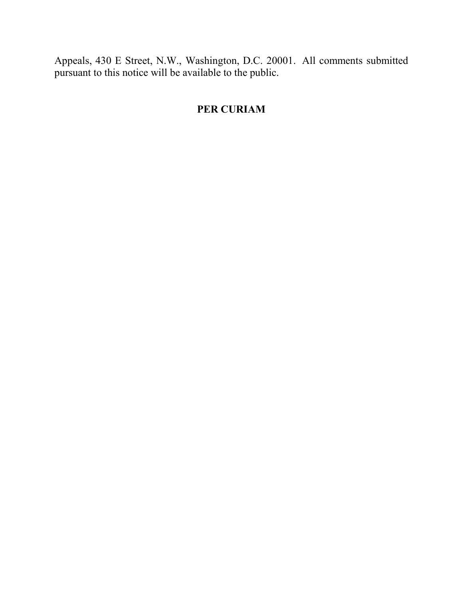Appeals, 430 E Street, N.W., Washington, D.C. 20001. All comments submitted pursuant to this notice will be available to the public.

# **PER CURIAM**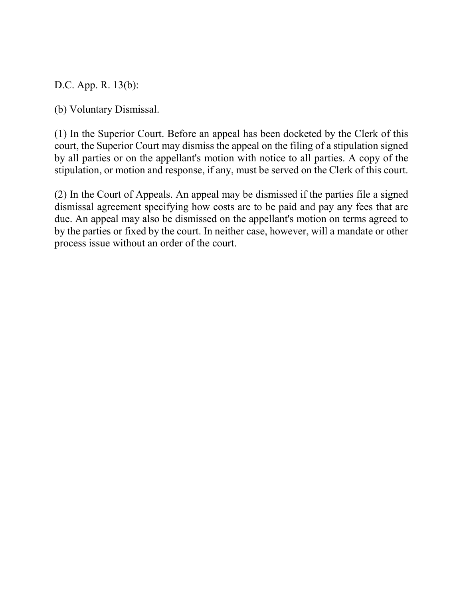D.C. App. R. 13(b):

(b) Voluntary Dismissal.

(1) In the Superior Court. Before an appeal has been docketed by the Clerk of this court, the Superior Court may dismiss the appeal on the filing of a stipulation signed by all parties or on the appellant's motion with notice to all parties. A copy of the stipulation, or motion and response, if any, must be served on the Clerk of this court.

(2) In the Court of Appeals. An appeal may be dismissed if the parties file a signed dismissal agreement specifying how costs are to be paid and pay any fees that are due. An appeal may also be dismissed on the appellant's motion on terms agreed to by the parties or fixed by the court. In neither case, however, will a mandate or other process issue without an order of the court.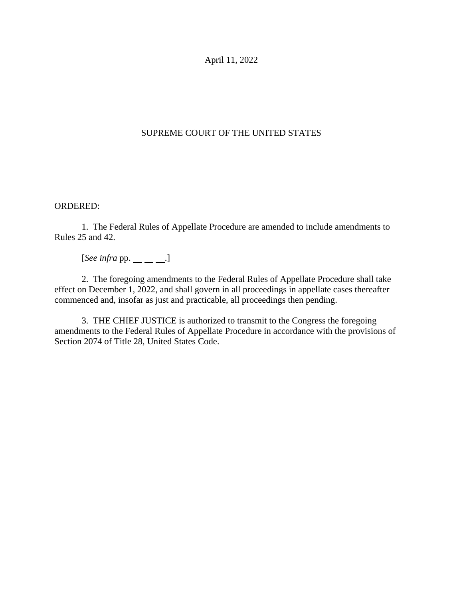April 11, 2022

## SUPREME COURT OF THE UNITED STATES

#### ORDERED:

1. The Federal Rules of Appellate Procedure are amended to include amendments to Rules 25 and 42.

 $[See infra pp. \_\_ \_\_].$ 

2. The foregoing amendments to the Federal Rules of Appellate Procedure shall take effect on December 1, 2022, and shall govern in all proceedings in appellate cases thereafter commenced and, insofar as just and practicable, all proceedings then pending.

3. THE CHIEF JUSTICE is authorized to transmit to the Congress the foregoing amendments to the Federal Rules of Appellate Procedure in accordance with the provisions of Section 2074 of Title 28, United States Code.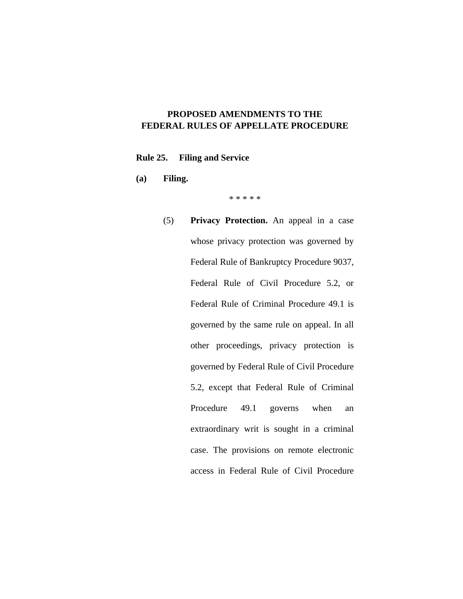### **PROPOSED AMENDMENTS TO THE FEDERAL RULES OF APPELLATE PROCEDURE**

#### **Rule 25. Filing and Service**

**(a) Filing.** 

\* \* \* \* \*

(5) **Privacy Protection.** An appeal in a case whose privacy protection was governed by Federal Rule of Bankruptcy Procedure 9037, Federal Rule of Civil Procedure 5.2, or Federal Rule of Criminal Procedure 49.1 is governed by the same rule on appeal. In all other proceedings, privacy protection is governed by Federal Rule of Civil Procedure 5.2, except that Federal Rule of Criminal Procedure 49.1 governs when an extraordinary writ is sought in a criminal case. The provisions on remote electronic access in Federal Rule of Civil Procedure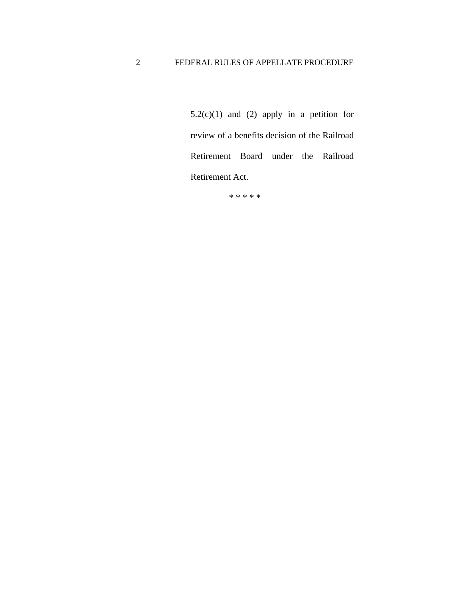$5.2(c)(1)$  and  $(2)$  apply in a petition for review of a benefits decision of the Railroad Retirement Board under the Railroad Retirement Act.

\* \* \* \* \*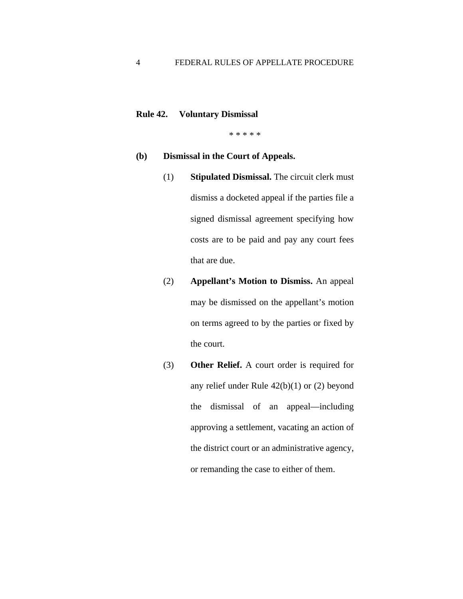#### **Rule 42. Voluntary Dismissal**

\* \* \* \* \*

#### **(b) Dismissal in the Court of Appeals.**

- (1) **Stipulated Dismissal.** The circuit clerk must dismiss a docketed appeal if the parties file a signed dismissal agreement specifying how costs are to be paid and pay any court fees that are due.
- (2) **Appellant's Motion to Dismiss.** An appeal may be dismissed on the appellant's motion on terms agreed to by the parties or fixed by the court.
- (3) **Other Relief.** A court order is required for any relief under Rule 42(b)(1) or (2) beyond the dismissal of an appeal—including approving a settlement, vacating an action of the district court or an administrative agency, or remanding the case to either of them.